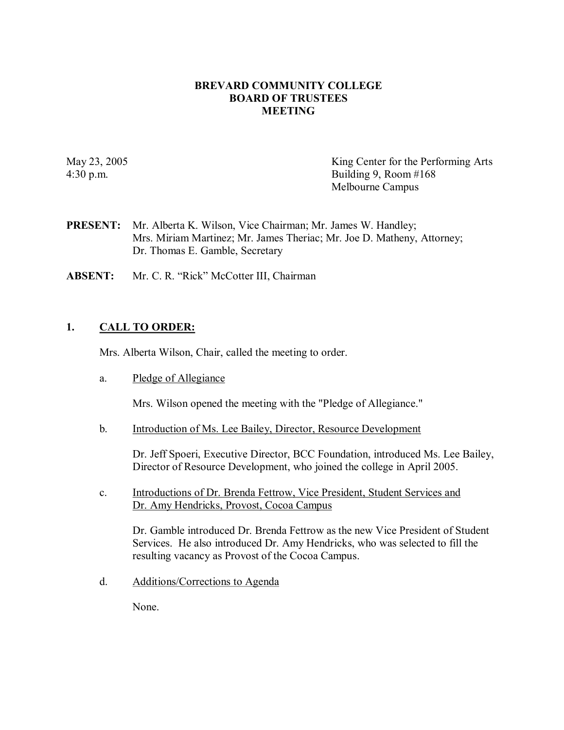### **BREVARD COMMUNITY COLLEGE BOARD OF TRUSTEES MEETING**

May 23, 2005 King Center for the Performing Arts 4:30 p.m. Building 9, Room #168 Melbourne Campus

- **PRESENT:** Mr. Alberta K. Wilson, Vice Chairman; Mr. James W. Handley; Mrs. Miriam Martinez; Mr. James Theriac; Mr. Joe D. Matheny, Attorney; Dr. Thomas E. Gamble, Secretary
- **ABSENT:** Mr. C. R. "Rick" McCotter III, Chairman

### **1. CALL TO ORDER:**

Mrs. Alberta Wilson, Chair, called the meeting to order.

a. Pledge of Allegiance

Mrs. Wilson opened the meeting with the "Pledge of Allegiance."

b. Introduction of Ms. Lee Bailey, Director, Resource Development

Dr. Jeff Spoeri, Executive Director, BCC Foundation, introduced Ms. Lee Bailey, Director of Resource Development, who joined the college in April 2005.

c. Introductions of Dr. Brenda Fettrow, Vice President, Student Services and Dr. Amy Hendricks, Provost, Cocoa Campus

Dr. Gamble introduced Dr. Brenda Fettrow asthe new Vice President of Student Services. He also introduced Dr. Amy Hendricks, who was selected to fill the resulting vacancy as Provost of the Cocoa Campus.

d. Additions/Corrections to Agenda

None.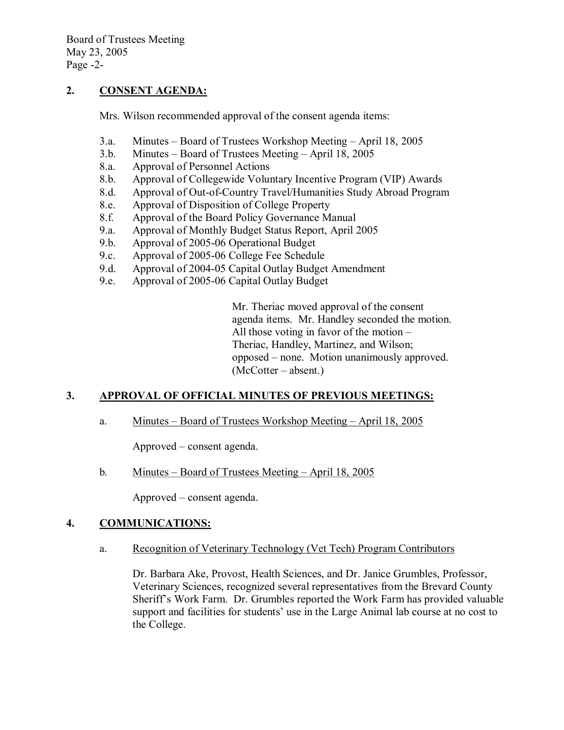# **2. CONSENT AGENDA:**

Mrs. Wilson recommended approval of the consent agenda items:

- 3.a. Minutes Board of Trustees Workshop Meeting April 18, 2005
- 3.b. Minutes Board of Trustees Meeting April 18, 2005
- 8.a. Approval of Personnel Actions
- 8.b. Approval of Collegewide Voluntary Incentive Program (VIP) Awards
- 8.d. Approval of Out-of-Country Travel/Humanities Study Abroad Program 8.e. Approval of Disposition of College Property
- Approval of Disposition of College Property
- 8.f. Approval of the Board Policy Governance Manual
- 9.a. Approval of Monthly Budget Status Report, April 2005
- 9.b. Approval of 2005-06 Operational Budget
- 9.c. Approval of 2005-06 College Fee Schedule
- 9.d. Approval of 2004-05 Capital Outlay Budget Amendment
- 9.e. Approval of 2005-06 Capital Outlay Budget

Mr. Theriac moved approval of the consent agenda items. Mr. Handley seconded the motion. All those voting in favor of the motion – Theriac, Handley, Martinez, and Wilson; opposed – none. Motion unanimously approved. (McCotter – absent.)

# **3. APPROVAL OF OFFICIAL MINUTES OF PREVIOUS MEETINGS:**

a. Minutes – Board of Trustees Workshop Meeting – April 18, 2005

Approved – consent agenda.

b. Minutes – Board of Trustees Meeting – April 18, 2005

Approved – consent agenda.

### **4. COMMUNICATIONS:**

a. Recognition of Veterinary Technology (Vet Tech) Program Contributors

Dr. Barbara Ake, Provost, Health Sciences, and Dr. Janice Grumbles, Professor, Veterinary Sciences, recognized several representatives from the Brevard County Sheriff's Work Farm. Dr. Grumbles reported the Work Farm has provided valuable support and facilities for students' use in the Large Animal lab course at no cost to the College.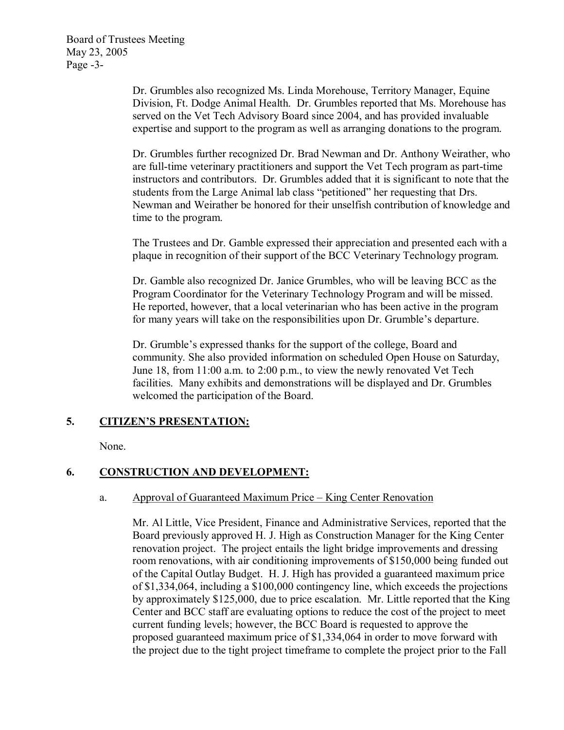Dr. Grumbles also recognized Ms. Linda Morehouse, Territory Manager, Equine Division, Ft. Dodge Animal Health. Dr. Grumbles reported that Ms. Morehouse has served on the Vet Tech Advisory Board since 2004, and has provided invaluable expertise and support to the program as well as arranging donations to the program.

Dr. Grumbles further recognized Dr. Brad Newman and Dr. Anthony Weirather, who are full-time veterinary practitioners and support the Vet Tech program as part-time instructors and contributors. Dr. Grumbles added that it is significant to note that the students from the Large Animal lab class "petitioned" her requesting that Drs. Newman and Weirather be honored for their unselfish contribution of knowledge and time to the program.

The Trustees and Dr. Gamble expressed their appreciation and presented each with a plaque in recognition of their support of the BCC Veterinary Technology program.

Dr. Gamble also recognized Dr. Janice Grumbles, who will be leaving BCC as the Program Coordinator for the Veterinary Technology Program and will be missed. He reported, however, that a local veterinarian who has been active in the program for many years will take on the responsibilities upon Dr. Grumble's departure.

Dr. Grumble's expressed thanks for the support of the college, Board and community. She also provided information on scheduled Open House on Saturday, June 18, from 11:00 a.m. to 2:00 p.m., to view the newly renovated Vet Tech facilities. Many exhibits and demonstrations will be displayed and Dr. Grumbles welcomed the participation of the Board.

# **5. CITIZEN'S PRESENTATION:**

None.

# **6. CONSTRUCTION AND DEVELOPMENT:**

### a. Approval of Guaranteed Maximum Price – King Center Renovation

Mr. Al Little, Vice President, Finance and Administrative Services, reported that the Board previously approved H. J. High as Construction Manager for the King Center renovation project. The project entails the light bridge improvements and dressing room renovations, with air conditioning improvements of \$150,000 being funded out of the Capital Outlay Budget. H. J. High has provided a guaranteed maximum price of \$1,334,064, including a \$100,000 contingency line, which exceeds the projections by approximately \$125,000, due to price escalation. Mr. Little reported that the King Center and BCC staff are evaluating options to reduce the cost of the project to meet current funding levels; however, the BCC Board is requested to approve the proposed guaranteed maximum price of \$1,334,064 in order to move forward with the project due to the tight project timeframe to complete the project prior to the Fall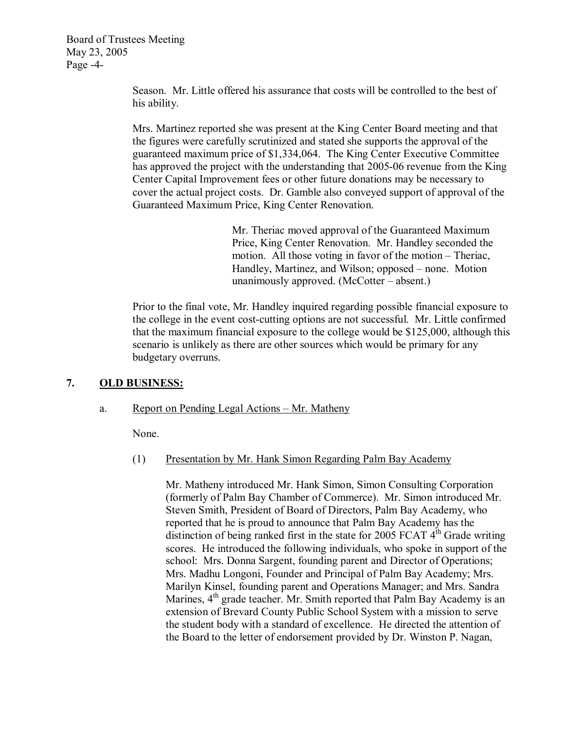Board of Trustees Meeting May 23, 2005 Page -4-

> Season. Mr. Little offered his assurance that costs will be controlled to the best of his ability.

Mrs. Martinez reported she was present at the King Center Board meeting and that the figures were carefully scrutinized and stated she supports the approval of the guaranteed maximum price of \$1,334,064. The King Center Executive Committee has approved the project with the understanding that 2005-06 revenue from the King Center Capital Improvement fees or other future donations may be necessary to cover the actual project costs. Dr. Gamble also conveyed support of approval of the Guaranteed Maximum Price, King Center Renovation.

> Mr. Theriac moved approval of the Guaranteed Maximum Price, King Center Renovation. Mr. Handley seconded the motion. All those voting in favor of the motion – Theriac, Handley, Martinez, and Wilson; opposed – none. Motion unanimously approved. (McCotter – absent.)

Prior to the final vote, Mr. Handley inquired regarding possible financial exposure to the college in the event cost-cutting options are not successful. Mr. Little confirmed that the maximum financial exposure to the college would be \$125,000, although this scenario is unlikely as there are other sources which would be primary for any budgetary overruns.

# **7. OLD BUSINESS:**

### a. Report on Pending Legal Actions – Mr. Matheny

None.

### (1) Presentation by Mr. Hank Simon Regarding Palm Bay Academy

Mr. Matheny introduced Mr. Hank Simon, Simon Consulting Corporation (formerly of Palm Bay Chamber of Commerce). Mr. Simon introduced Mr. Steven Smith, President of Board of Directors, Palm Bay Academy, who reported that he is proud to announce that Palm Bay Academy has the distinction of being ranked first in the state for 2005 FCAT  $4<sup>th</sup>$  Grade writing scores. He introduced the following individuals, who spoke in support of the school: Mrs. Donna Sargent, founding parent and Director of Operations; Mrs. Madhu Longoni, Founder and Principal of Palm Bay Academy; Mrs. Marilyn Kinsel, founding parent and Operations Manager; and Mrs. Sandra Marines, 4<sup>th</sup> grade teacher. Mr. Smith reported that Palm Bay Academy is an extension of Brevard County Public School System with a mission to serve the student body with a standard of excellence. He directed the attention of the Board to the letter of endorsement provided by Dr. Winston P. Nagan,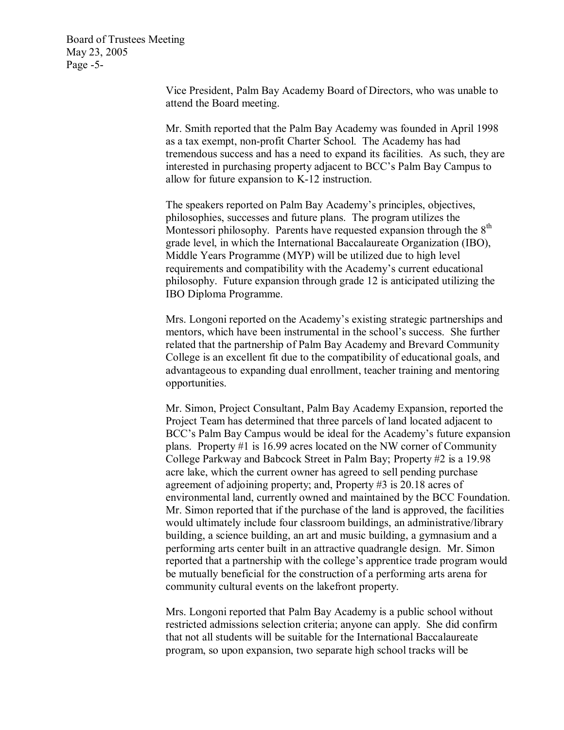Board of Trustees Meeting May 23, 2005 Page  $-5$ -

> Vice President, Palm Bay Academy Board of Directors, who was unable to attend the Board meeting.

Mr. Smith reported that the Palm Bay Academy was founded in April 1998 as a tax exempt, non-profit Charter School. The Academy has had tremendous success and has a need to expand its facilities. As such, they are interested in purchasing property adjacent to BCC's Palm Bay Campus to allow for future expansion to K-12 instruction.

The speakers reported on Palm Bay Academy's principles, objectives, philosophies, successes and future plans. The program utilizes the Montessori philosophy. Parents have requested expansion through the  $8<sup>th</sup>$ grade level, in which the International Baccalaureate Organization (IBO), Middle Years Programme (MYP) will be utilized due to high level requirements and compatibility with the Academy's current educational philosophy. Future expansion through grade 12 is anticipated utilizing the IBO Diploma Programme.

Mrs. Longoni reported on the Academy's existing strategic partnerships and mentors, which have been instrumental in the school's success. She further related that the partnership of Palm Bay Academy and Brevard Community College is an excellent fit due to the compatibility of educational goals, and advantageous to expanding dual enrollment, teacher training and mentoring opportunities.

Mr. Simon, Project Consultant, Palm Bay Academy Expansion, reported the Project Team has determined that three parcels of land located adjacent to BCC's Palm Bay Campus would be ideal for the Academy's future expansion plans. Property #1 is 16.99 acres located on the NW corner of Community College Parkway and Babcock Street in Palm Bay; Property #2 is a 19.98 acre lake, which the current owner has agreed to sell pending purchase agreement of adjoining property; and, Property #3 is 20.18 acres of environmental land, currently owned and maintained by the BCC Foundation. Mr. Simon reported that if the purchase of the land is approved, the facilities would ultimately include four classroom buildings, an administrative/library building, a science building, an art and music building, a gymnasium and a performing arts center built in an attractive quadrangle design. Mr. Simon reported that a partnership with the college's apprentice trade program would be mutually beneficial for the construction of a performing arts arena for community cultural events on the lakefront property.

Mrs. Longoni reported that Palm Bay Academy is a public school without restricted admissions selection criteria; anyone can apply. She did confirm that not all students will be suitable for the International Baccalaureate program, so upon expansion, two separate high school tracks will be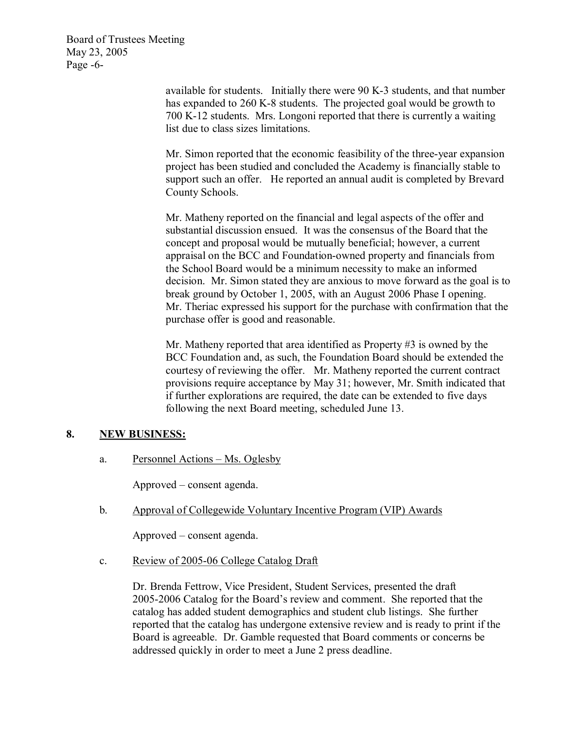Board of Trustees Meeting May 23, 2005 Page  $-6$ -

> available for students. Initially there were 90 K-3 students, and that number has expanded to 260 K-8 students. The projected goal would be growth to 700 K12 students. Mrs. Longoni reported that there is currently a waiting list due to class sizes limitations.

> Mr. Simon reported that the economic feasibility of the three-year expansion project has been studied and concluded the Academy is financially stable to support such an offer. He reported an annual audit is completed by Brevard County Schools.

Mr. Matheny reported on the financial and legal aspects of the offer and substantial discussion ensued. It was the consensus of the Board that the concept and proposal would be mutually beneficial; however, a current appraisal on the BCC and Foundation-owned property and financials from the School Board would be a minimum necessity to make an informed decision. Mr. Simon stated they are anxious to move forward as the goal is to break ground by October 1, 2005, with an August 2006 Phase I opening. Mr. Theriac expressed his support for the purchase with confirmation that the purchase offer is good and reasonable.

Mr. Matheny reported that area identified as Property #3 is owned by the BCC Foundation and, as such, the Foundation Board should be extended the courtesy of reviewing the offer. Mr. Matheny reported the current contract provisions require acceptance by May 31; however, Mr. Smith indicated that if further explorations are required, the date can be extended to five days following the next Board meeting, scheduled June 13.

### **8. NEW BUSINESS:**

a. Personnel Actions – Ms. Oglesby

Approved – consent agenda.

b. Approval of Collegewide Voluntary Incentive Program (VIP) Awards

Approved – consent agenda.

c. Review of 2005-06 College Catalog Draft

Dr. Brenda Fettrow, Vice President, Student Services, presented the draft 2005-2006 Catalog for the Board's review and comment. She reported that the catalog has added student demographics and student club listings. She further reported that the catalog has undergone extensive review and is ready to print if the Board is agreeable. Dr. Gamble requested that Board comments or concerns be addressed quickly in order to meet a June 2 press deadline.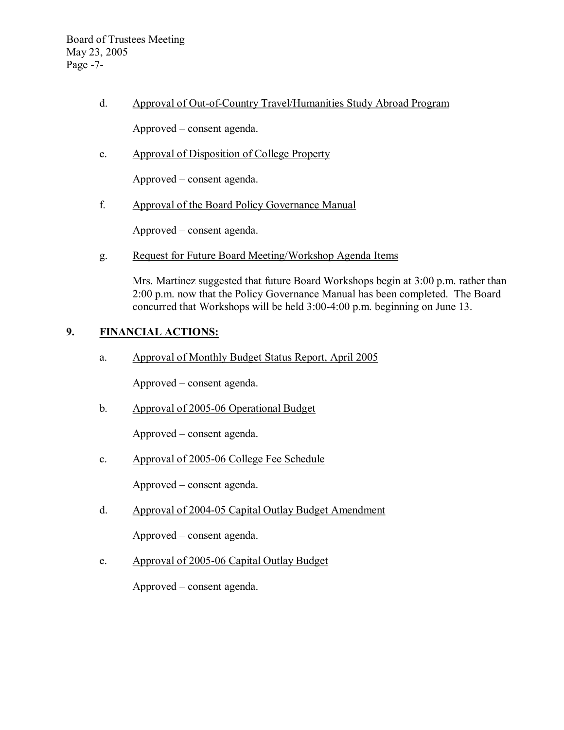Board of Trustees Meeting May 23, 2005 Page  $-7$ -

d. Approval of Out-of-Country Travel/Humanities Study Abroad Program

Approved – consent agenda.

e. Approval of Disposition of College Property

Approved – consent agenda.

f. Approval of the Board Policy Governance Manual

Approved – consent agenda.

g. Request for Future Board Meeting/Workshop Agenda Items

Mrs. Martinez suggested that future Board Workshops begin at 3:00 p.m. rather than 2:00 p.m. now that the Policy Governance Manual has been completed. The Board concurred that Workshops will be held 3:00-4:00 p.m. beginning on June 13.

# **9. FINANCIAL ACTIONS:**

a. Approval of Monthly Budget Status Report, April 2005

Approved – consent agenda.

b. Approval of 2005-06 Operational Budget

Approved – consent agenda.

c. Approval of 2005-06 College Fee Schedule

Approved – consent agenda.

d. Approval of 2004-05 Capital Outlay Budget Amendment

Approved – consent agenda.

e. Approval of 2005-06 Capital Outlay Budget

Approved – consent agenda.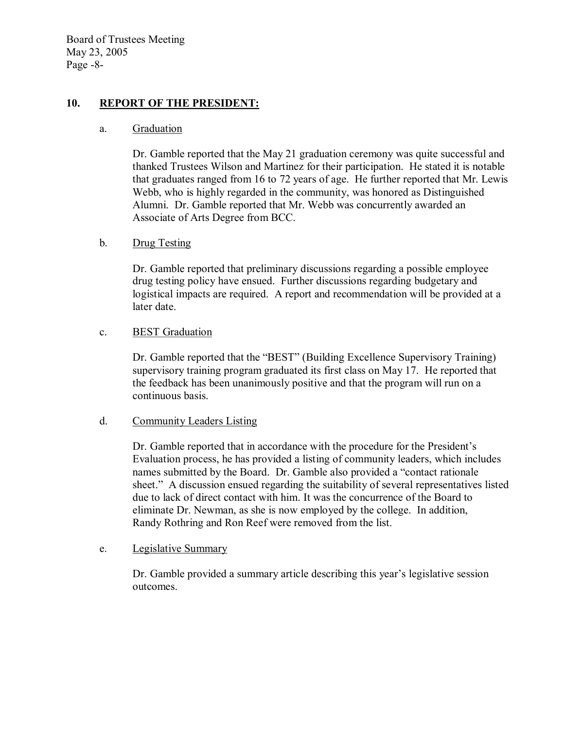Board of Trustees Meeting May 23, 2005 Page  $-8$ -

# 10. **REPORT OF THE PRESIDENT:**

#### a. Graduation

Dr. Gamble reported that the May 21 graduation ceremony was quite successful and thanked Trustees Wilson and Martinez for their participation. He stated it is notable that graduates ranged from 16 to 72 years of age. He further reported that Mr. Lewis Webb, who is highly regarded in the community, was honored as Distinguished Alumni. Dr. Gamble reported that Mr. Webb was concurrently awarded an Associate of Arts Degree from BCC.

# b. Drug Testing

Dr. Gamble reported that preliminary discussions regarding a possible employee drug testing policy have ensued. Further discussions regarding budgetary and logistical impacts are required. A report and recommendation will be provided at a later date.

### c. BEST Graduation

Dr. Gamble reported that the "BEST" (Building Excellence Supervisory Training) supervisory training program graduated its first class on May 17. He reported that the feedback has been unanimously positive and that the program will run on a continuous basis.

### d. Community Leaders Listing

Dr. Gamble reported that in accordance with the procedure for the President's Evaluation process, he has provided a listing of community leaders, which includes names submitted by the Board. Dr. Gamble also provided a "contact rationale sheet." A discussion ensued regarding the suitability of several representatives listed due to lack of direct contact with him. It was the concurrence of the Board to eliminate Dr. Newman, as she is now employed by the college. In addition, Randy Rothring and Ron Reef were removed from the list.

### e. Legislative Summary

Dr. Gamble provided a summary article describing this year's legislative session outcomes.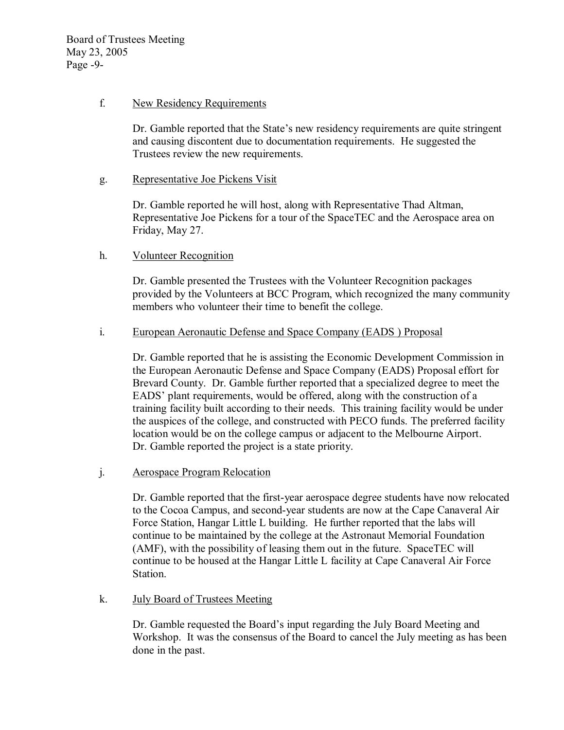# f. New Residency Requirements

Dr. Gamble reported that the State's new residency requirements are quite stringent and causing discontent due to documentation requirements. He suggested the Trustees review the new requirements.

### g. Representative Joe Pickens Visit

Dr. Gamble reported he will host, along with Representative Thad Altman, Representative Joe Pickens for a tour of the SpaceTEC and the Aerospace area on Friday, May 27.

# h. Volunteer Recognition

Dr. Gamble presented the Trustees with the Volunteer Recognition packages provided by the Volunteers at BCC Program, which recognized the many community members who volunteer their time to benefit the college.

# i. European Aeronautic Defense and Space Company (EADS ) Proposal

Dr. Gamble reported that he is assisting the Economic Development Commission in the European Aeronautic Defense and Space Company (EADS) Proposal effort for Brevard County. Dr. Gamble further reported that a specialized degree to meet the EADS' plant requirements, would be offered, along with the construction of a training facility built according to their needs. This training facility would be under the auspices of the college, and constructed with PECO funds. The preferred facility location would be on the college campus or adjacent to the Melbourne Airport. Dr. Gamble reported the project is a state priority.

# j. Aerospace Program Relocation

Dr. Gamble reported that the first-year aerospace degree students have now relocated to the Cocoa Campus, and second-year students are now at the Cape Canaveral Air Force Station, Hangar Little L building. He further reported that the labs will continue to be maintained by the college at the Astronaut Memorial Foundation (AMF), with the possibility of leasing them out in the future. SpaceTEC will continue to be housed at the Hangar Little L facility at Cape Canaveral Air Force Station.

### k. July Board of Trustees Meeting

Dr. Gamble requested the Board's input regarding the July Board Meeting and Workshop. It was the consensus of the Board to cancel the July meeting as has been done in the past.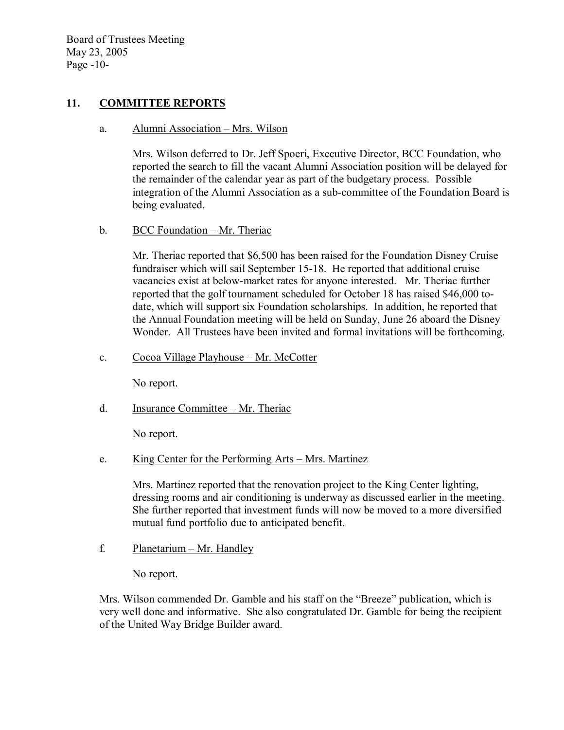Board of Trustees Meeting May 23, 2005 Page  $-10$ -

# **11. COMMITTEE REPORTS**

a. Alumni Association – Mrs. Wilson

Mrs. Wilson deferred to Dr. Jeff Spoeri, Executive Director, BCC Foundation, who reported the search to fill the vacant Alumni Association position will be delayed for the remainder of the calendar year as part of the budgetary process. Possible integration of the Alumni Association as a sub-committee of the Foundation Board is being evaluated.

b. BCC Foundation – Mr. Theriac

Mr. Theriac reported that \$6,500 has been raised for the Foundation Disney Cruise fundraiser which will sail September 15-18. He reported that additional cruise vacancies exist at below-market rates for anyone interested. Mr. Theriac further reported that the golf tournament scheduled for October 18 has raised \$46,000 todate, which will support six Foundation scholarships. In addition, he reported that the Annual Foundation meeting will be held on Sunday, June 26 aboard the Disney Wonder. All Trustees have been invited and formal invitations will be forthcoming.

c. Cocoa Village Playhouse – Mr. McCotter

No report.

d. Insurance Committee – Mr. Theriac

No report.

e. King Center for the Performing Arts – Mrs. Martinez

Mrs. Martinez reported that the renovation project to the King Center lighting, dressing rooms and air conditioning is underway as discussed earlier in the meeting. She further reported that investment funds will now be moved to a more diversified mutual fund portfolio due to anticipated benefit.

f. Planetarium – Mr. Handley

No report.

Mrs. Wilson commended Dr. Gamble and his staff on the "Breeze" publication, which is very well done and informative. She also congratulated Dr. Gamble for being the recipient of the United Way Bridge Builder award.